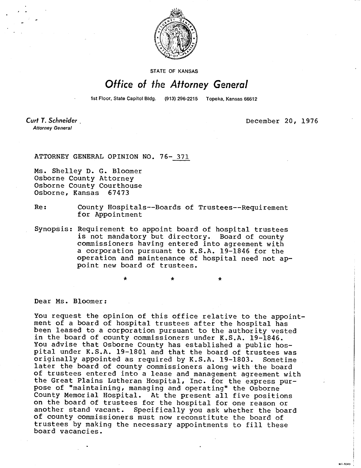

STATE OF KANSAS

## Office of the Attorney General

1st Floor, State Capitol Bldg. (913) 296-2215 Topeka, Kansas 66612

Curt T. Schneider **Attorney General** 

December 20, 1976

ні - 1043

ATTORNEY GENERAL OPINION NO. 76- 371

Ms. Shelley D. G. Bloomer Osborne County Attorney Osborne County Courthouse Osborne, Kansas 67473

Re: County Hospitals--Boards of Trustees--Requirement for Appointment

Synopsis: Requirement to appoint board of hospital trustees is not mandatory but directory. Board of county commissioners having entered into agreement with a corporation pursuant to K.S.A. 19-1846 for the operation and maintenance of hospital need not appoint new board of trustees.

Dear Ms. Bloomer:

You request the opinion of this office relative to the appointment of a board of hospital trustees after the hospital has been leased to a corporation pursuant to the authority vested in the board of county commissioners under K.S.A. 19-1846. You advise that Osborne County has established a public hospital under K.S.A. 19-1801 and that the board of trustees was originally appointed as required by K.S.A. 19-1803. Sometime later the board of county commissioners along with the board of trustees entered into a lease and management agreement with the Great Plains Lutheran Hospital, Inc. for the express purpose of "maintaining, managing and operating" the Osborne County Memorial Hospital. At the present all five positions on the board of trustees for the hospital for one reason or another stand vacant. Specifically you ask whether the board of county commissioners must now reconstitute the board of trustees by making the necessary appointments to fill these board vacancies.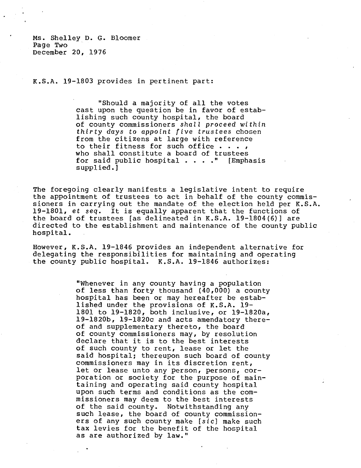Ms. Shelley D. G. Bloomer Page Two December 20, 1976

K.S.A. 19-1803 provides in pertinent part:

"Should a majority of all the votes cast upon the question be in favor of establishing such county hospital, the board of county commissioners shall proceed within thirty days to appoint five trustees chosen from the citizens at large with reference to their fitness for such office . . . , who shall constitute a board of trustees for said public hospital . . . ." [Emphasis supplied.]

The foregoing clearly manifests a legislative intent to require the appointment of trustees to act in behalf of the county commissioners in carrying out the mandate of the election held per K.S.A. 19-1801, et seq. It is equally apparent that the functions of the board of trustees [as delineated in K.S.A. 19-1804(6)] are directed to the establishment and maintenance of the county public hospital.

However, K.S.A. 19-1846 provides an independent alternative for delegating the responsibilities for maintaining and operating the county public hospital. K.S.A. 19-1846 authorizes:

> "Whenever in any county having a population of less than forty thousand (40,000) a county hospital has been or may hereafter be established under the provisions of K.S.A. 19- 1801 to 19-1820, both inclusive, or 19-1820a, 19-1820b, 19-1820c and acts amendatory thereof and supplementary thereto, the board of county commissioners may, by resolution declare that it is to the best interests of such county to rent, lease or let the said hospital; thereupon such board of county commissioners may in its discretion rent, let or lease unto any person, persons, corporation or society for the purpose of maintaining and operating said county hospital upon such terms and conditions as the commissioners may deem to the best interests<br>of the said county. Notwithstanding any of the said county. such lease, the board of county commissioners of any such county make [sic] make such tax levies for the benefit of the hospital as are authorized by law."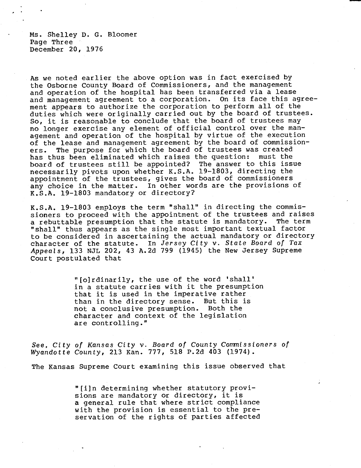Ms. Shelley D. G. Bloomer Page Three December 20, 1976

As we noted earlier the above option was in fact exercised by the Osborne County Board of Commissioners, and the management and operation of the hospital has been transferred via a lease and management agreement to a corporation. On its face this agreement appears to authorize the corporation to perform all of the duties which were originally carried out by the board of trustees. So, it is reasonable to conclude that the board of trustees may no longer exercise any element of official control over the management and operation of the hospital by virtue of the execution of the lease and management agreement by the board of commissioners. The purpose for which the board of trustees was created has thus been eliminated which raises the question: must the board of trustees still be appointed? The answer to this issue necessarily pivots upon whether K.S.A. 19-1803, directing the appointment of the trustees, gives the board of commissioners any choice in the matter. In other words are the provisions of K.S.A. 19-1803 mandatory or directory?

K.S.A. 19-1803 employs the term "shall" in directing the commissioners to proceed with the appointment of the trustees and raises<br>a rebuttable presumption that the statute is mandatory. The term a rebuttable presumption that the statute is mandatory. "shall" thus appears as the single most important textual factor to be considered in ascertaining the actual mandatory or directory character of the statute. In Jersey City  $v$ . State Board of Tax Appeals, 133 NJL 202, 43 A.2d 799 (1945) the New Jersey Supreme Court postulated that

> "[o]rdinarily, the use of the word 'shall' in a statute carries with it the presumption that it is used in the imperative rather than in the directory sense. But this is not a conclusive presumption. Both the character and context of the legislation are controlling."

See, City of Kansas City v. Board of County Commissioners of Wyandotte County, 213 Kan. 777, 518 P.2d 403 (1974).

The Kansas Supreme Court examining this issue observed that

"[i]n determining whether statutory provisions are mandatory or directory, it is a general rule that where strict compliance with the provision is essential to the preservation of the rights of parties affected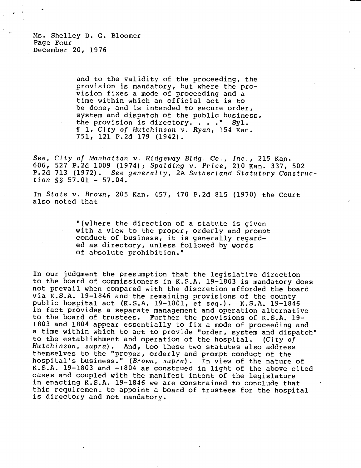and to the validity of the proceeding, the provision is mandatory, but where the provision fixes a mode of proceeding and a time within which an official act is to be done, and is intended to secure order, system and dispatch of the public business, the provision is directory. . . . " Syl. 1 1, City of Hutchinson v. Ryan, 154 Kan. 751, 121 P.2d 179 (1942).

See, City of Manhattan v. Ridgeway Bldg. Co., Inc., 215 Kan. 606, 527 P.2d 1009 (1974); Spalding v. Price, 210 Kan. 337, 502 P.2d 713 (1972). See generally, 2A Sutherland Statutory Construction  $\S$ § 57.01 - 57.04.

In State v. Brown, 205 Kan. 457, 470 P.2d 815 (1970) the Court also noted that

> "[w]here the direction of a statute is given with a view to the proper, orderly and prompt conduct of business, it is generally regarded as directory, unless followed by words of absolute prohibition."

In our judgment the presumption that the legislative direction to the board of commissioners in K.S.A. 19-1803 is mandatory does not prevail when compared with the discretion afforded the board via K.S.A. 19-1846 and the remaining provisions of the county public hospital act (K.S.A. 19-1801, et seq.). K.S.A. 19-1846 in fact provides a separate management and operation alternative to the board of trustees. Further the provisions of K.S.A. 19- 1803 and 1804 appear essentially to fix a mode of proceeding and a time within which to act to provide "order, system and dispatch" to the establishment and operation of the hospital. (City of Hutchinson, supra). And, too these two statutes also address themselves to the "proper, orderly and prompt conduct of the hospital's business." (Brown, supra). In view of the nature of K.S.A. 19-1803 and -1804 as construed in light of the above cited cases and coupled with the manifest intent of the legislature in enacting K.S.A. 19-1846 we are constrained to conclude that this requirement to appoint a board of trustees for the hospital is directory and not mandatory.